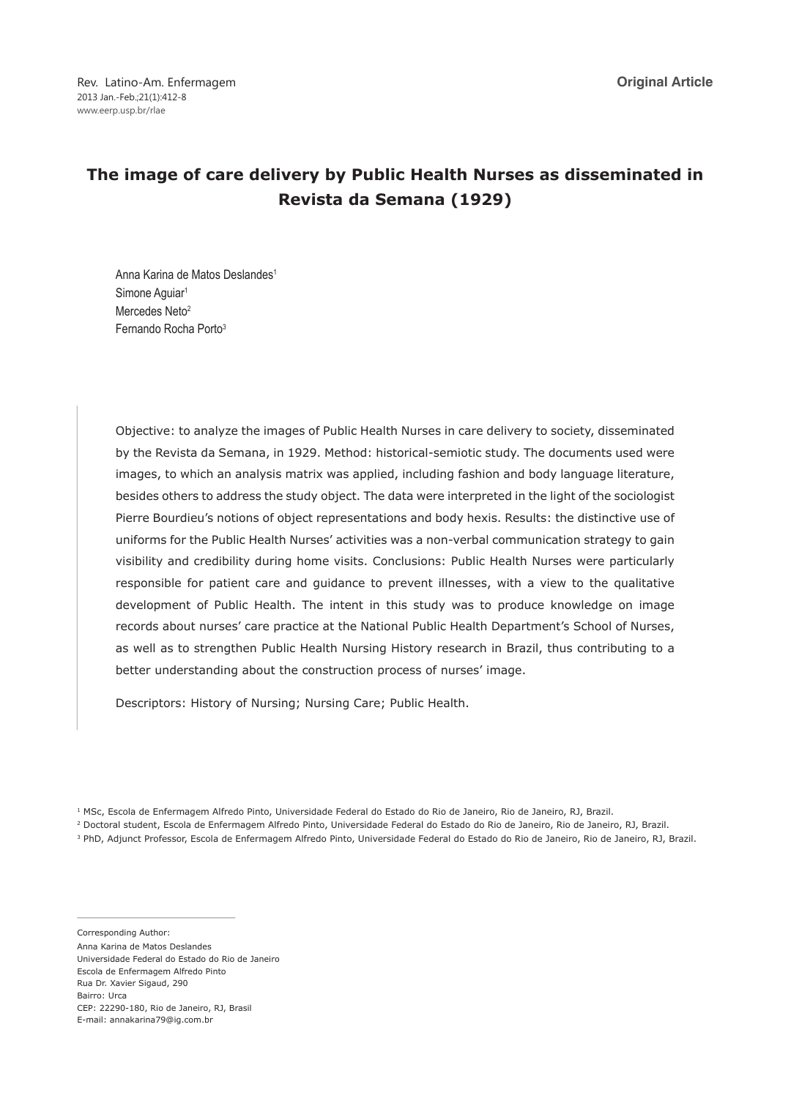Rev. Latino-Am. Enfermagem 2013 Jan.-Feb.;21(1):412-8 www.eerp.usp.br/rlae

**Original Article**

# **The image of care delivery by Public Health Nurses as disseminated in Revista da Semana (1929)**

Anna Karina de Matos Deslandes<sup>1</sup> Simone Aquiar<sup>1</sup> Mercedes Neto<sup>2</sup> Fernando Rocha Porto3

Objective: to analyze the images of Public Health Nurses in care delivery to society, disseminated by the Revista da Semana, in 1929. Method: historical-semiotic study. The documents used were images, to which an analysis matrix was applied, including fashion and body language literature, besides others to address the study object. The data were interpreted in the light of the sociologist Pierre Bourdieu's notions of object representations and body hexis. Results: the distinctive use of uniforms for the Public Health Nurses' activities was a non-verbal communication strategy to gain visibility and credibility during home visits. Conclusions: Public Health Nurses were particularly responsible for patient care and guidance to prevent illnesses, with a view to the qualitative development of Public Health. The intent in this study was to produce knowledge on image records about nurses' care practice at the National Public Health Department's School of Nurses, as well as to strengthen Public Health Nursing History research in Brazil, thus contributing to a better understanding about the construction process of nurses' image.

Descriptors: History of Nursing; Nursing Care; Public Health.

Corresponding Author: Anna Karina de Matos Deslandes Universidade Federal do Estado do Rio de Janeiro Escola de Enfermagem Alfredo Pinto Rua Dr. Xavier Sigaud, 290 Bairro: Urca CEP: 22290-180, Rio de Janeiro, RJ, Brasil E-mail: annakarina79@ig.com.br

<sup>&</sup>lt;sup>1</sup> MSc, Escola de Enfermagem Alfredo Pinto, Universidade Federal do Estado do Rio de Janeiro, Rio de Janeiro, RJ, Brazil.

<sup>2</sup> Doctoral student, Escola de Enfermagem Alfredo Pinto, Universidade Federal do Estado do Rio de Janeiro, Rio de Janeiro, RJ, Brazil.

<sup>3</sup> PhD, Adjunct Professor, Escola de Enfermagem Alfredo Pinto, Universidade Federal do Estado do Rio de Janeiro, Rio de Janeiro, RJ, Brazil.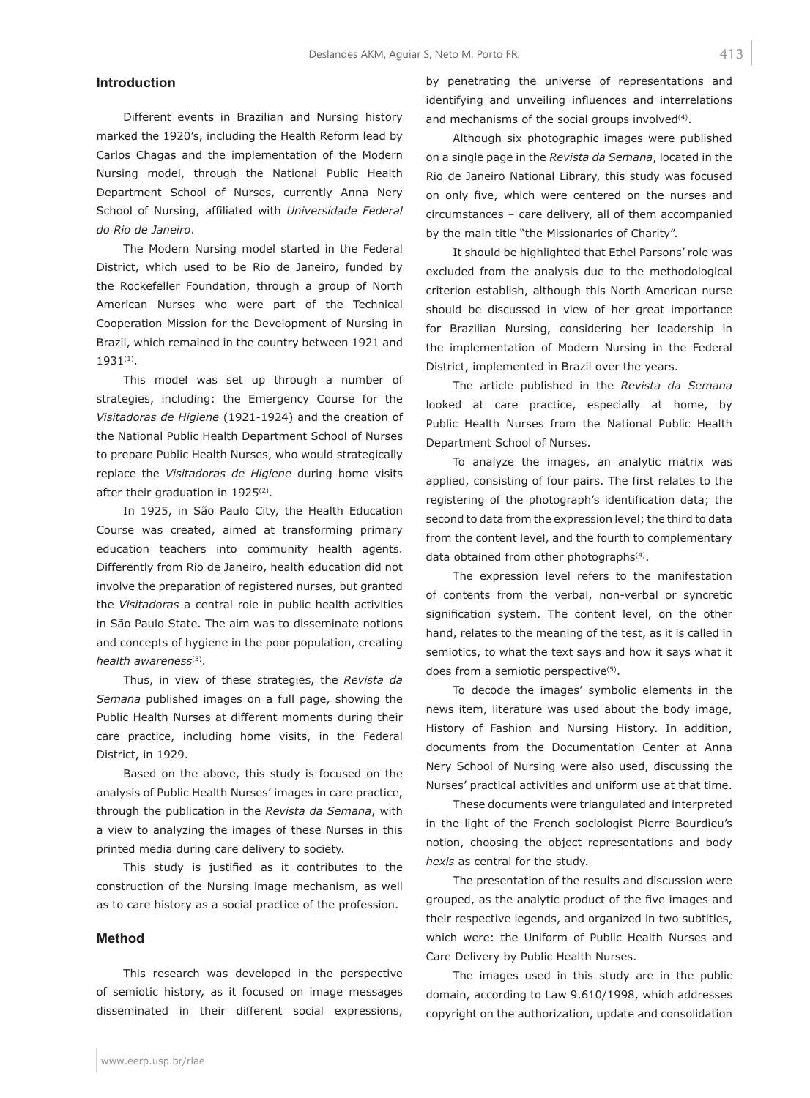# **Introduction**

Different events in Brazilian and Nursing history marked the 1920's, including the Health Reform lead by Carlos Chagas and the implementation of the Modern Nursing model, through the National Public Health Department School of Nurses, currently Anna Nery School of Nursing, affiliated with *Universidade Federal do Rio de Janeiro*.

The Modern Nursing model started in the Federal District, which used to be Rio de Janeiro, funded by the Rockefeller Foundation, through a group of North American Nurses who were part of the Technical Cooperation Mission for the Development of Nursing in Brazil, which remained in the country between 1921 and 1931(1).

This model was set up through a number of strategies, including: the Emergency Course for the *Visitadoras de Higiene* (1921-1924) and the creation of the National Public Health Department School of Nurses to prepare Public Health Nurses, who would strategically replace the *Visitadoras de Higiene* during home visits after their graduation in 1925<sup>(2)</sup>.

In 1925, in São Paulo City, the Health Education Course was created, aimed at transforming primary education teachers into community health agents. Differently from Rio de Janeiro, health education did not involve the preparation of registered nurses, but granted the *Visitadoras* a central role in public health activities in São Paulo State. The aim was to disseminate notions and concepts of hygiene in the poor population, creating *health awareness*(3).

Thus, in view of these strategies, the *Revista da Semana* published images on a full page, showing the Public Health Nurses at different moments during their care practice, including home visits, in the Federal District, in 1929.

Based on the above, this study is focused on the analysis of Public Health Nurses' images in care practice, through the publication in the *Revista da Semana*, with a view to analyzing the images of these Nurses in this printed media during care delivery to society.

This study is justified as it contributes to the construction of the Nursing image mechanism, as well as to care history as a social practice of the profession.

#### **Method**

This research was developed in the perspective of semiotic history, as it focused on image messages disseminated in their different social expressions, by penetrating the universe of representations and identifying and unveiling influences and interrelations and mechanisms of the social groups involved<sup>(4)</sup>.

Although six photographic images were published on a single page in the *Revista da Semana*, located in the Rio de Janeiro National Library, this study was focused on only five, which were centered on the nurses and circumstances – care delivery, all of them accompanied by the main title "the Missionaries of Charity".

It should be highlighted that Ethel Parsons' role was excluded from the analysis due to the methodological criterion establish, although this North American nurse should be discussed in view of her great importance for Brazilian Nursing, considering her leadership in the implementation of Modern Nursing in the Federal District, implemented in Brazil over the years.

The article published in the *Revista da Semana*  looked at care practice, especially at home, by Public Health Nurses from the National Public Health Department School of Nurses.

To analyze the images, an analytic matrix was applied, consisting of four pairs. The first relates to the registering of the photograph's identification data; the second to data from the expression level; the third to data from the content level, and the fourth to complementary data obtained from other photographs<sup>(4)</sup>.

The expression level refers to the manifestation of contents from the verbal, non-verbal or syncretic signification system. The content level, on the other hand, relates to the meaning of the test, as it is called in semiotics, to what the text says and how it says what it does from a semiotic perspective<sup>(5)</sup>.

To decode the images' symbolic elements in the news item, literature was used about the body image, History of Fashion and Nursing History. In addition, documents from the Documentation Center at Anna Nery School of Nursing were also used, discussing the Nurses' practical activities and uniform use at that time.

These documents were triangulated and interpreted in the light of the French sociologist Pierre Bourdieu's notion, choosing the object representations and body *hexis* as central for the study.

The presentation of the results and discussion were grouped, as the analytic product of the five images and their respective legends, and organized in two subtitles, which were: the Uniform of Public Health Nurses and Care Delivery by Public Health Nurses.

The images used in this study are in the public domain, according to Law 9.610/1998, which addresses copyright on the authorization, update and consolidation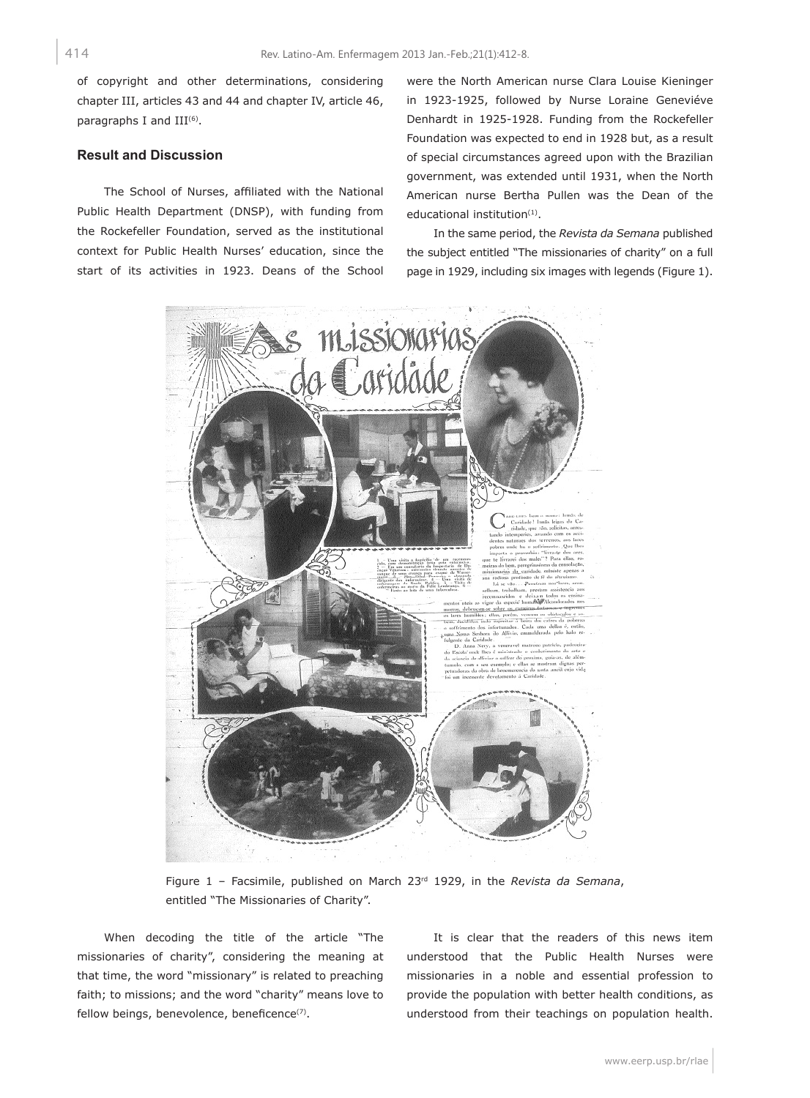of copyright and other determinations, considering chapter III, articles 43 and 44 and chapter IV, article 46, paragraphs I and  $III<sup>(6)</sup>$ .

# **Result and Discussion**

The School of Nurses, affiliated with the National Public Health Department (DNSP), with funding from the Rockefeller Foundation, served as the institutional context for Public Health Nurses' education, since the start of its activities in 1923. Deans of the School were the North American nurse Clara Louise Kieninger in 1923-1925, followed by Nurse Loraine Geneviéve Denhardt in 1925-1928. Funding from the Rockefeller Foundation was expected to end in 1928 but, as a result of special circumstances agreed upon with the Brazilian government, was extended until 1931, when the North American nurse Bertha Pullen was the Dean of the educational institution<sup>(1)</sup>.

In the same period, the *Revista da Semana* published the subject entitled "The missionaries of charity" on a full page in 1929, including six images with legends (Figure 1).



Figure 1 – Facsimile, published on March 23rd 1929, in the *Revista da Semana*, entitled "The Missionaries of Charity".

When decoding the title of the article "The missionaries of charity", considering the meaning at that time, the word "missionary" is related to preaching faith; to missions; and the word "charity" means love to fellow beings, benevolence, beneficence<sup>(7)</sup>.

It is clear that the readers of this news item understood that the Public Health Nurses were missionaries in a noble and essential profession to provide the population with better health conditions, as understood from their teachings on population health.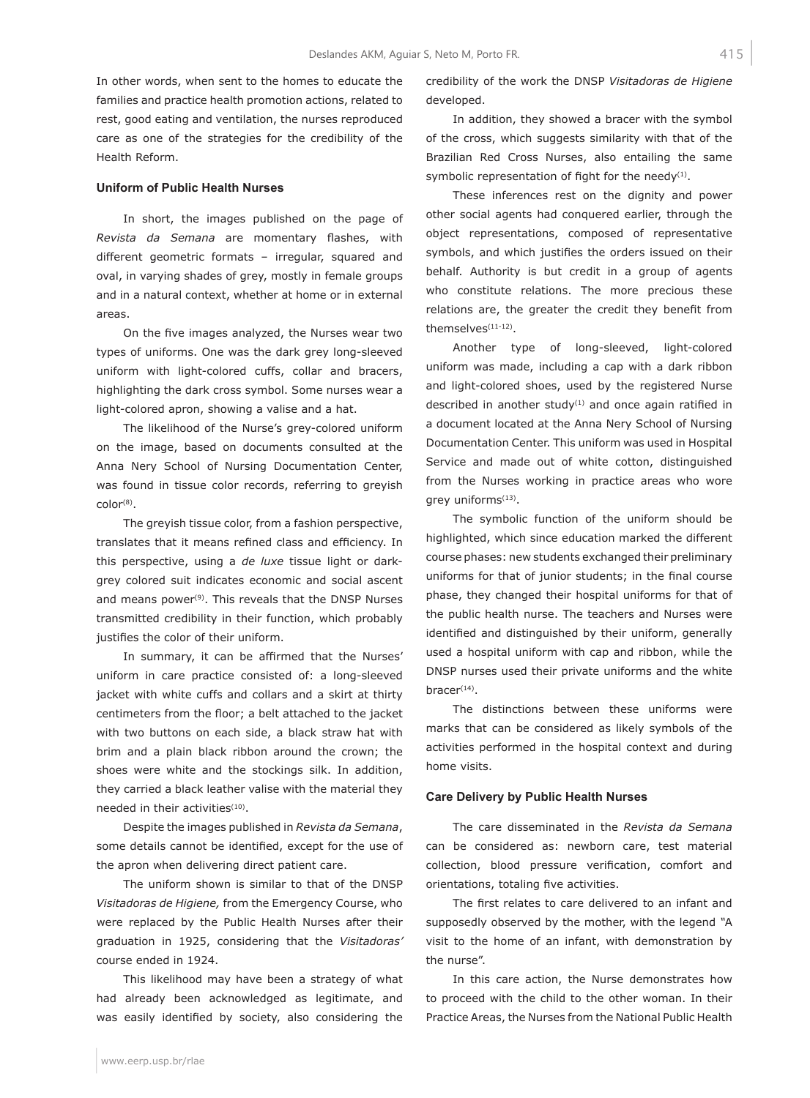In other words, when sent to the homes to educate the families and practice health promotion actions, related to rest, good eating and ventilation, the nurses reproduced care as one of the strategies for the credibility of the Health Reform.

### **Uniform of Public Health Nurses**

In short, the images published on the page of *Revista da Semana* are momentary flashes, with different geometric formats – irregular, squared and oval, in varying shades of grey, mostly in female groups and in a natural context, whether at home or in external areas.

On the five images analyzed, the Nurses wear two types of uniforms. One was the dark grey long-sleeved uniform with light-colored cuffs, collar and bracers, highlighting the dark cross symbol. Some nurses wear a light-colored apron, showing a valise and a hat.

The likelihood of the Nurse's grey-colored uniform on the image, based on documents consulted at the Anna Nery School of Nursing Documentation Center, was found in tissue color records, referring to greyish color<sup>(8)</sup>.

The greyish tissue color, from a fashion perspective, translates that it means refined class and efficiency. In this perspective, using a *de luxe* tissue light or darkgrey colored suit indicates economic and social ascent and means power<sup>(9)</sup>. This reveals that the DNSP Nurses transmitted credibility in their function, which probably justifies the color of their uniform.

In summary, it can be affirmed that the Nurses' uniform in care practice consisted of: a long-sleeved jacket with white cuffs and collars and a skirt at thirty centimeters from the floor; a belt attached to the jacket with two buttons on each side, a black straw hat with brim and a plain black ribbon around the crown; the shoes were white and the stockings silk. In addition, they carried a black leather valise with the material they needed in their activities<sup>(10)</sup>.

Despite the images published in *Revista da Semana*, some details cannot be identified, except for the use of the apron when delivering direct patient care.

The uniform shown is similar to that of the DNSP *Visitadoras de Higiene,* from the Emergency Course, who were replaced by the Public Health Nurses after their graduation in 1925, considering that the *Visitadoras'*  course ended in 1924.

This likelihood may have been a strategy of what had already been acknowledged as legitimate, and was easily identified by society, also considering the credibility of the work the DNSP *Visitadoras de Higiene*  developed.

In addition, they showed a bracer with the symbol of the cross, which suggests similarity with that of the Brazilian Red Cross Nurses, also entailing the same symbolic representation of fight for the needy $(1)$ .

These inferences rest on the dignity and power other social agents had conquered earlier, through the object representations, composed of representative symbols, and which justifies the orders issued on their behalf. Authority is but credit in a group of agents who constitute relations. The more precious these relations are, the greater the credit they benefit from themselves<sup>(11-12)</sup>.

Another type of long-sleeved, light-colored uniform was made, including a cap with a dark ribbon and light-colored shoes, used by the registered Nurse described in another study $(1)$  and once again ratified in a document located at the Anna Nery School of Nursing Documentation Center. This uniform was used in Hospital Service and made out of white cotton, distinguished from the Nurses working in practice areas who wore grey uniforms<sup>(13)</sup>.

The symbolic function of the uniform should be highlighted, which since education marked the different course phases: new students exchanged their preliminary uniforms for that of junior students; in the final course phase, they changed their hospital uniforms for that of the public health nurse. The teachers and Nurses were identified and distinguished by their uniform, generally used a hospital uniform with cap and ribbon, while the DNSP nurses used their private uniforms and the white  $bracer<sup>(14)</sup>.$ 

The distinctions between these uniforms were marks that can be considered as likely symbols of the activities performed in the hospital context and during home visits.

#### **Care Delivery by Public Health Nurses**

The care disseminated in the *Revista da Semana*  can be considered as: newborn care, test material collection, blood pressure verification, comfort and orientations, totaling five activities.

The first relates to care delivered to an infant and supposedly observed by the mother, with the legend *"*A visit to the home of an infant, with demonstration by the nurse".

In this care action, the Nurse demonstrates how to proceed with the child to the other woman. In their Practice Areas, the Nurses from the National Public Health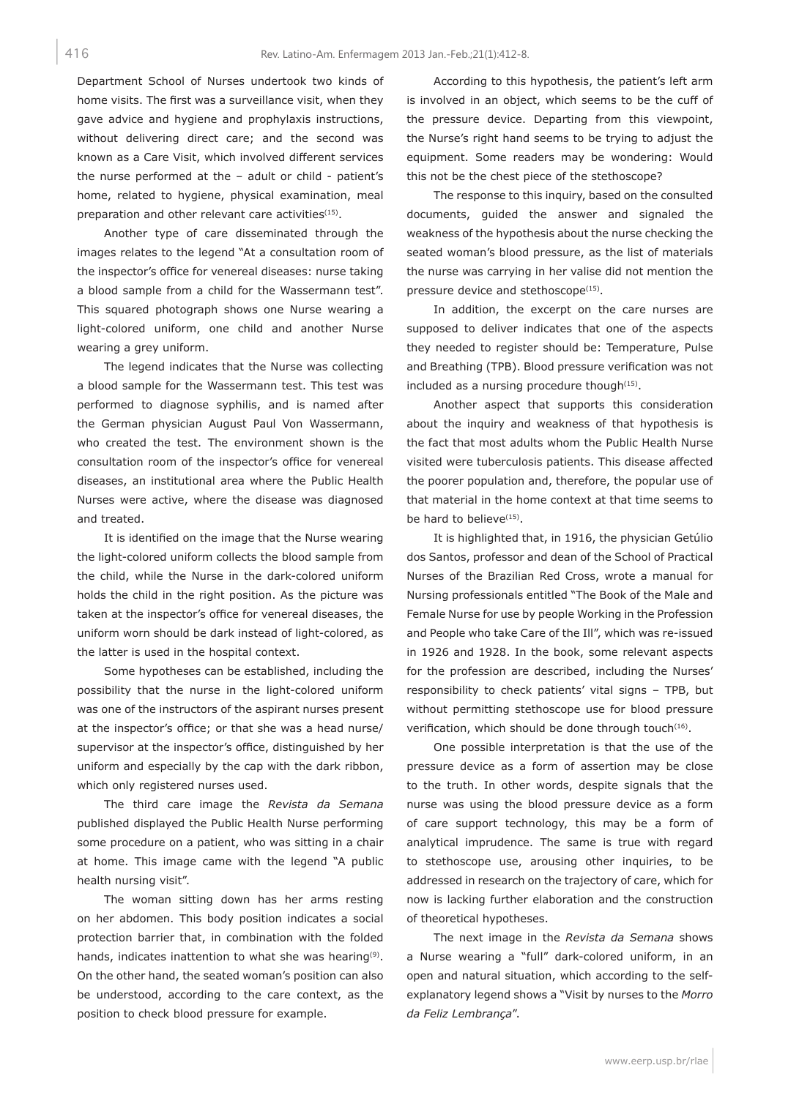Department School of Nurses undertook two kinds of home visits. The first was a surveillance visit, when they gave advice and hygiene and prophylaxis instructions, without delivering direct care; and the second was known as a Care Visit, which involved different services the nurse performed at the – adult or child - patient's home, related to hygiene, physical examination, meal preparation and other relevant care activities<sup>(15)</sup>.

Another type of care disseminated through the images relates to the legend "At a consultation room of the inspector's office for venereal diseases: nurse taking a blood sample from a child for the Wassermann test". This squared photograph shows one Nurse wearing a light-colored uniform, one child and another Nurse wearing a grey uniform.

The legend indicates that the Nurse was collecting a blood sample for the Wassermann test. This test was performed to diagnose syphilis, and is named after the German physician August Paul Von Wassermann, who created the test. The environment shown is the consultation room of the inspector's office for venereal diseases, an institutional area where the Public Health Nurses were active, where the disease was diagnosed and treated.

It is identified on the image that the Nurse wearing the light-colored uniform collects the blood sample from the child, while the Nurse in the dark-colored uniform holds the child in the right position. As the picture was taken at the inspector's office for venereal diseases, the uniform worn should be dark instead of light-colored, as the latter is used in the hospital context.

Some hypotheses can be established, including the possibility that the nurse in the light-colored uniform was one of the instructors of the aspirant nurses present at the inspector's office; or that she was a head nurse/ supervisor at the inspector's office, distinguished by her uniform and especially by the cap with the dark ribbon, which only registered nurses used.

The third care image the *Revista da Semana*  published displayed the Public Health Nurse performing some procedure on a patient, who was sitting in a chair at home. This image came with the legend "A public health nursing visit".

The woman sitting down has her arms resting on her abdomen. This body position indicates a social protection barrier that, in combination with the folded hands, indicates inattention to what she was hearing<sup>(9)</sup>. On the other hand, the seated woman's position can also be understood, according to the care context, as the position to check blood pressure for example.

According to this hypothesis, the patient's left arm is involved in an object, which seems to be the cuff of the pressure device. Departing from this viewpoint, the Nurse's right hand seems to be trying to adjust the equipment. Some readers may be wondering: Would this not be the chest piece of the stethoscope?

The response to this inquiry, based on the consulted documents, guided the answer and signaled the weakness of the hypothesis about the nurse checking the seated woman's blood pressure, as the list of materials the nurse was carrying in her valise did not mention the pressure device and stethoscope<sup>(15)</sup>.

In addition, the excerpt on the care nurses are supposed to deliver indicates that one of the aspects they needed to register should be: Temperature, Pulse and Breathing (TPB). Blood pressure verification was not included as a nursing procedure though $(15)$ .

Another aspect that supports this consideration about the inquiry and weakness of that hypothesis is the fact that most adults whom the Public Health Nurse visited were tuberculosis patients. This disease affected the poorer population and, therefore, the popular use of that material in the home context at that time seems to be hard to believe<sup>(15)</sup>.

It is highlighted that, in 1916, the physician Getúlio dos Santos, professor and dean of the School of Practical Nurses of the Brazilian Red Cross, wrote a manual for Nursing professionals entitled "The Book of the Male and Female Nurse for use by people Working in the Profession and People who take Care of the Ill", which was re-issued in 1926 and 1928. In the book, some relevant aspects for the profession are described, including the Nurses' responsibility to check patients' vital signs – TPB, but without permitting stethoscope use for blood pressure verification, which should be done through touch<sup>(16)</sup>.

One possible interpretation is that the use of the pressure device as a form of assertion may be close to the truth. In other words, despite signals that the nurse was using the blood pressure device as a form of care support technology, this may be a form of analytical imprudence. The same is true with regard to stethoscope use, arousing other inquiries, to be addressed in research on the trajectory of care, which for now is lacking further elaboration and the construction of theoretical hypotheses.

The next image in the *Revista da Semana* shows a Nurse wearing a "full" dark-colored uniform, in an open and natural situation, which according to the selfexplanatory legend shows a "Visit by nurses to the *Morro da Feliz Lembrança*".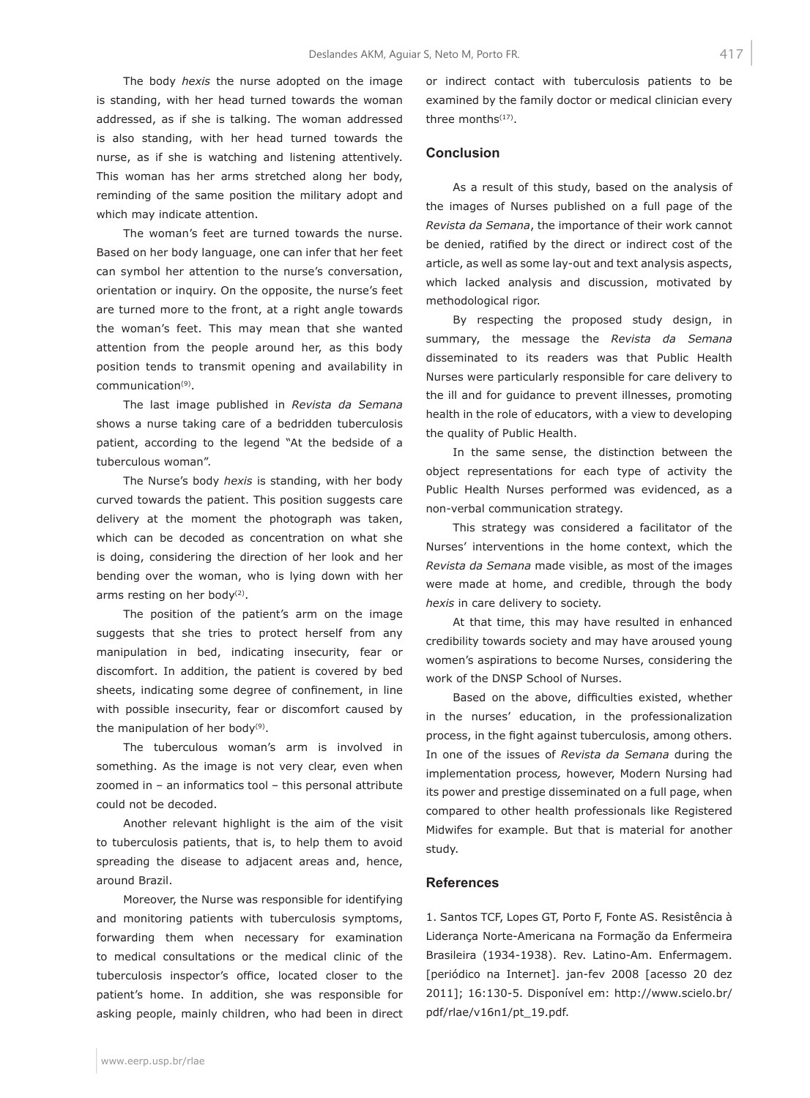The body *hexis* the nurse adopted on the image is standing, with her head turned towards the woman addressed, as if she is talking. The woman addressed is also standing, with her head turned towards the nurse, as if she is watching and listening attentively. This woman has her arms stretched along her body, reminding of the same position the military adopt and which may indicate attention.

The woman's feet are turned towards the nurse. Based on her body language, one can infer that her feet can symbol her attention to the nurse's conversation, orientation or inquiry. On the opposite, the nurse's feet are turned more to the front, at a right angle towards the woman's feet. This may mean that she wanted attention from the people around her, as this body position tends to transmit opening and availability in communication(9).

The last image published in *Revista da Semana*  shows a nurse taking care of a bedridden tuberculosis patient, according to the legend "At the bedside of a tuberculous woman".

The Nurse's body *hexis* is standing, with her body curved towards the patient. This position suggests care delivery at the moment the photograph was taken, which can be decoded as concentration on what she is doing, considering the direction of her look and her bending over the woman, who is lying down with her arms resting on her body<sup>(2)</sup>.

The position of the patient's arm on the image suggests that she tries to protect herself from any manipulation in bed, indicating insecurity, fear or discomfort. In addition, the patient is covered by bed sheets, indicating some degree of confinement, in line with possible insecurity, fear or discomfort caused by the manipulation of her body<sup>(9)</sup>.

The tuberculous woman's arm is involved in something. As the image is not very clear, even when zoomed in – an informatics tool – this personal attribute could not be decoded.

Another relevant highlight is the aim of the visit to tuberculosis patients, that is, to help them to avoid spreading the disease to adjacent areas and, hence, around Brazil.

Moreover, the Nurse was responsible for identifying and monitoring patients with tuberculosis symptoms, forwarding them when necessary for examination to medical consultations or the medical clinic of the tuberculosis inspector's office, located closer to the patient's home. In addition, she was responsible for asking people, mainly children, who had been in direct or indirect contact with tuberculosis patients to be examined by the family doctor or medical clinician every three months<sup>(17)</sup>.

#### **Conclusion**

As a result of this study, based on the analysis of the images of Nurses published on a full page of the *Revista da Semana*, the importance of their work cannot be denied, ratified by the direct or indirect cost of the article, as well as some lay-out and text analysis aspects, which lacked analysis and discussion, motivated by methodological rigor.

By respecting the proposed study design, in summary, the message the *Revista da Semana*  disseminated to its readers was that Public Health Nurses were particularly responsible for care delivery to the ill and for guidance to prevent illnesses, promoting health in the role of educators, with a view to developing the quality of Public Health.

In the same sense, the distinction between the object representations for each type of activity the Public Health Nurses performed was evidenced, as a non-verbal communication strategy.

This strategy was considered a facilitator of the Nurses' interventions in the home context, which the *Revista da Semana* made visible, as most of the images were made at home, and credible, through the body *hexis* in care delivery to society.

At that time, this may have resulted in enhanced credibility towards society and may have aroused young women's aspirations to become Nurses, considering the work of the DNSP School of Nurses.

Based on the above, difficulties existed, whether in the nurses' education, in the professionalization process, in the fight against tuberculosis, among others. In one of the issues of *Revista da Semana* during the implementation process*,* however, Modern Nursing had its power and prestige disseminated on a full page, when compared to other health professionals like Registered Midwifes for example. But that is material for another study.

#### **References**

1. Santos TCF, Lopes GT, Porto F, Fonte AS. Resistência à Liderança Norte-Americana na Formação da Enfermeira Brasileira (1934-1938). Rev. Latino-Am. Enfermagem. [periódico na Internet]. jan-fev 2008 [acesso 20 dez 2011]; 16:130-5. Disponível em: http://www.scielo.br/ pdf/rlae/v16n1/pt\_19.pdf.